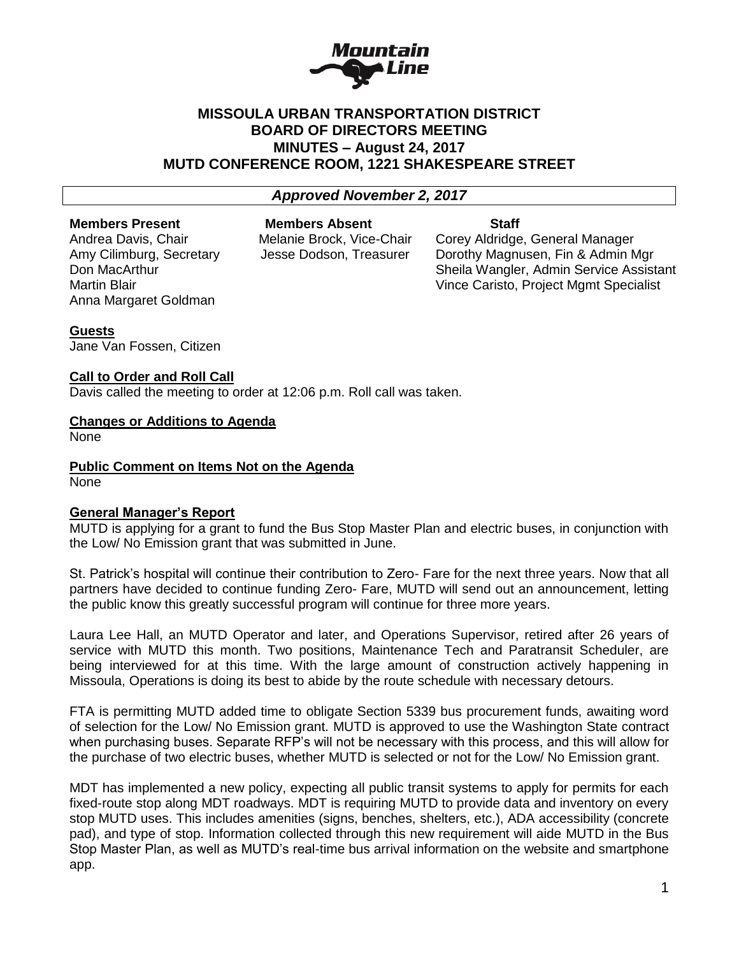

## **MISSOULA URBAN TRANSPORTATION DISTRICT BOARD OF DIRECTORS MEETING MINUTES – August 24, 2017 MUTD CONFERENCE ROOM, 1221 SHAKESPEARE STREET**

#### *Approved November 2, 2017*

#### **Members Present Members Absent Staff**

Anna Margaret Goldman

Andrea Davis, Chair Melanie Brock, Vice-Chair Corey Aldridge, General Manager

Amy Cilimburg, Secretary Jesse Dodson, Treasurer Dorothy Magnusen, Fin & Admin Mgr Don MacArthur **National Sheila Wangler, Admin Service Assistant** Martin Blair Vince Caristo, Project Mgmt Specialist

#### **Guests**

Jane Van Fossen, Citizen

#### **Call to Order and Roll Call**

Davis called the meeting to order at 12:06 p.m. Roll call was taken.

#### **Changes or Additions to Agenda**

None

**Public Comment on Items Not on the Agenda** None

### **General Manager's Report**

MUTD is applying for a grant to fund the Bus Stop Master Plan and electric buses, in conjunction with the Low/ No Emission grant that was submitted in June.

St. Patrick's hospital will continue their contribution to Zero- Fare for the next three years. Now that all partners have decided to continue funding Zero- Fare, MUTD will send out an announcement, letting the public know this greatly successful program will continue for three more years.

Laura Lee Hall, an MUTD Operator and later, and Operations Supervisor, retired after 26 years of service with MUTD this month. Two positions, Maintenance Tech and Paratransit Scheduler, are being interviewed for at this time. With the large amount of construction actively happening in Missoula, Operations is doing its best to abide by the route schedule with necessary detours.

FTA is permitting MUTD added time to obligate Section 5339 bus procurement funds, awaiting word of selection for the Low/ No Emission grant. MUTD is approved to use the Washington State contract when purchasing buses. Separate RFP's will not be necessary with this process, and this will allow for the purchase of two electric buses, whether MUTD is selected or not for the Low/ No Emission grant.

MDT has implemented a new policy, expecting all public transit systems to apply for permits for each fixed-route stop along MDT roadways. MDT is requiring MUTD to provide data and inventory on every stop MUTD uses. This includes amenities (signs, benches, shelters, etc.), ADA accessibility (concrete pad), and type of stop. Information collected through this new requirement will aide MUTD in the Bus Stop Master Plan, as well as MUTD's real-time bus arrival information on the website and smartphone app.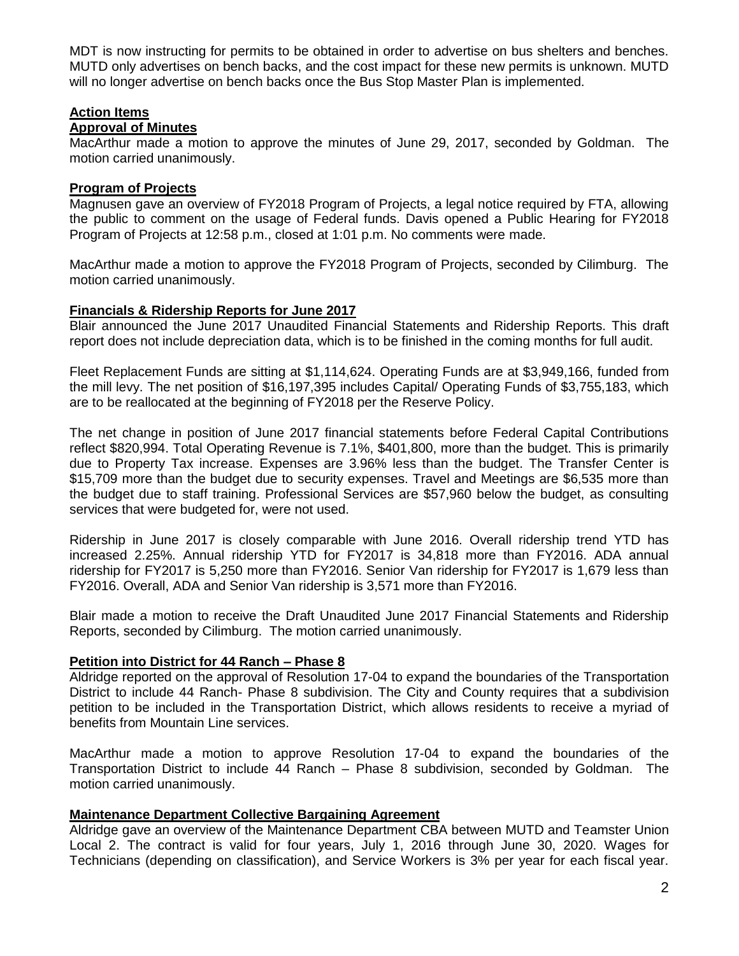MDT is now instructing for permits to be obtained in order to advertise on bus shelters and benches. MUTD only advertises on bench backs, and the cost impact for these new permits is unknown. MUTD will no longer advertise on bench backs once the Bus Stop Master Plan is implemented.

## **Action Items**

## **Approval of Minutes**

MacArthur made a motion to approve the minutes of June 29, 2017, seconded by Goldman. The motion carried unanimously.

## **Program of Projects**

Magnusen gave an overview of FY2018 Program of Projects, a legal notice required by FTA, allowing the public to comment on the usage of Federal funds. Davis opened a Public Hearing for FY2018 Program of Projects at 12:58 p.m., closed at 1:01 p.m. No comments were made.

MacArthur made a motion to approve the FY2018 Program of Projects, seconded by Cilimburg. The motion carried unanimously.

## **Financials & Ridership Reports for June 2017**

Blair announced the June 2017 Unaudited Financial Statements and Ridership Reports. This draft report does not include depreciation data, which is to be finished in the coming months for full audit.

Fleet Replacement Funds are sitting at \$1,114,624. Operating Funds are at \$3,949,166, funded from the mill levy. The net position of \$16,197,395 includes Capital/ Operating Funds of \$3,755,183, which are to be reallocated at the beginning of FY2018 per the Reserve Policy.

The net change in position of June 2017 financial statements before Federal Capital Contributions reflect \$820,994. Total Operating Revenue is 7.1%, \$401,800, more than the budget. This is primarily due to Property Tax increase. Expenses are 3.96% less than the budget. The Transfer Center is \$15,709 more than the budget due to security expenses. Travel and Meetings are \$6,535 more than the budget due to staff training. Professional Services are \$57,960 below the budget, as consulting services that were budgeted for, were not used.

Ridership in June 2017 is closely comparable with June 2016. Overall ridership trend YTD has increased 2.25%. Annual ridership YTD for FY2017 is 34,818 more than FY2016. ADA annual ridership for FY2017 is 5,250 more than FY2016. Senior Van ridership for FY2017 is 1,679 less than FY2016. Overall, ADA and Senior Van ridership is 3,571 more than FY2016.

Blair made a motion to receive the Draft Unaudited June 2017 Financial Statements and Ridership Reports, seconded by Cilimburg. The motion carried unanimously.

# **Petition into District for 44 Ranch – Phase 8**

Aldridge reported on the approval of Resolution 17-04 to expand the boundaries of the Transportation District to include 44 Ranch- Phase 8 subdivision. The City and County requires that a subdivision petition to be included in the Transportation District, which allows residents to receive a myriad of benefits from Mountain Line services.

MacArthur made a motion to approve Resolution 17-04 to expand the boundaries of the Transportation District to include 44 Ranch – Phase 8 subdivision, seconded by Goldman. The motion carried unanimously.

# **Maintenance Department Collective Bargaining Agreement**

Aldridge gave an overview of the Maintenance Department CBA between MUTD and Teamster Union Local 2. The contract is valid for four years, July 1, 2016 through June 30, 2020. Wages for Technicians (depending on classification), and Service Workers is 3% per year for each fiscal year.